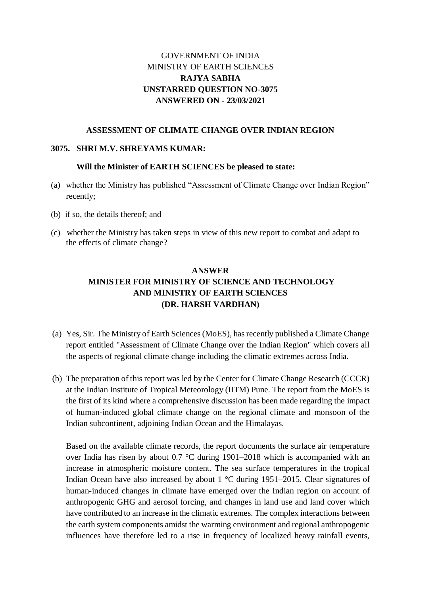## GOVERNMENT OF INDIA MINISTRY OF EARTH SCIENCES **RAJYA SABHA UNSTARRED QUESTION NO-3075 ANSWERED ON - 23/03/2021**

### **ASSESSMENT OF CLIMATE CHANGE OVER INDIAN REGION**

#### **3075. SHRI M.V. SHREYAMS KUMAR:**

#### **Will the Minister of EARTH SCIENCES be pleased to state:**

- (a) whether the Ministry has published "Assessment of Climate Change over Indian Region" recently;
- (b) if so, the details thereof; and
- (c) whether the Ministry has taken steps in view of this new report to combat and adapt to the effects of climate change?

# **ANSWER MINISTER FOR MINISTRY OF SCIENCE AND TECHNOLOGY AND MINISTRY OF EARTH SCIENCES (DR. HARSH VARDHAN)**

- (a) Yes, Sir. The Ministry of Earth Sciences (MoES), has recently published a Climate Change report entitled "Assessment of Climate Change over the Indian Region" which covers all the aspects of regional climate change including the climatic extremes across India.
- (b) The preparation of this report was led by the Center for Climate Change Research (CCCR) at the Indian Institute of Tropical Meteorology (IITM) Pune. The report from the MoES is the first of its kind where a comprehensive discussion has been made regarding the impact of human-induced global climate change on the regional climate and monsoon of the Indian subcontinent, adjoining Indian Ocean and the Himalayas.

Based on the available climate records, the report documents the surface air temperature over India has risen by about 0.7 °C during 1901–2018 which is accompanied with an increase in atmospheric moisture content. The sea surface temperatures in the tropical Indian Ocean have also increased by about 1 °C during 1951–2015. Clear signatures of human-induced changes in climate have emerged over the Indian region on account of anthropogenic GHG and aerosol forcing, and changes in land use and land cover which have contributed to an increase in the climatic extremes. The complex interactions between the earth system components amidst the warming environment and regional anthropogenic influences have therefore led to a rise in frequency of localized heavy rainfall events,